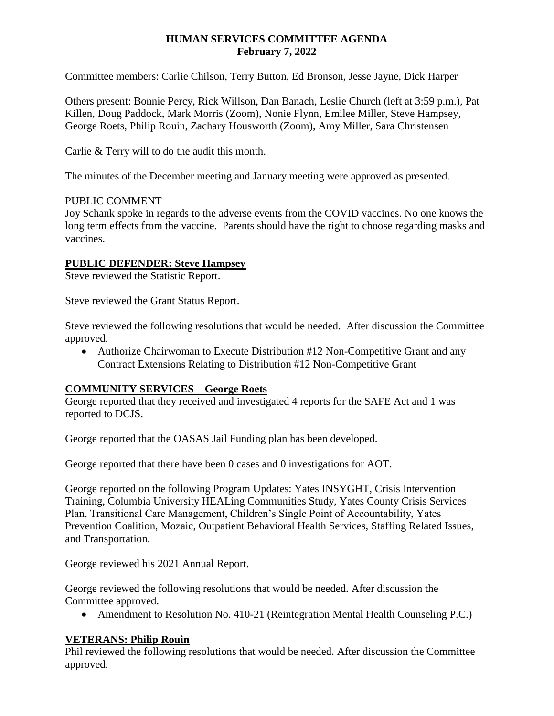### **HUMAN SERVICES COMMITTEE AGENDA February 7, 2022**

Committee members: Carlie Chilson, Terry Button, Ed Bronson, Jesse Jayne, Dick Harper

Others present: Bonnie Percy, Rick Willson, Dan Banach, Leslie Church (left at 3:59 p.m.), Pat Killen, Doug Paddock, Mark Morris (Zoom), Nonie Flynn, Emilee Miller, Steve Hampsey, George Roets, Philip Rouin, Zachary Housworth (Zoom), Amy Miller, Sara Christensen

Carlie & Terry will to do the audit this month.

The minutes of the December meeting and January meeting were approved as presented.

### PUBLIC COMMENT

Joy Schank spoke in regards to the adverse events from the COVID vaccines. No one knows the long term effects from the vaccine. Parents should have the right to choose regarding masks and vaccines.

## **PUBLIC DEFENDER: Steve Hampsey**

Steve reviewed the Statistic Report.

Steve reviewed the Grant Status Report.

Steve reviewed the following resolutions that would be needed. After discussion the Committee approved.

• Authorize Chairwoman to Execute Distribution #12 Non-Competitive Grant and any Contract Extensions Relating to Distribution #12 Non-Competitive Grant

## **COMMUNITY SERVICES – George Roets**

George reported that they received and investigated 4 reports for the SAFE Act and 1 was reported to DCJS.

George reported that the OASAS Jail Funding plan has been developed.

George reported that there have been 0 cases and 0 investigations for AOT.

George reported on the following Program Updates: Yates INSYGHT, Crisis Intervention Training, Columbia University HEALing Communities Study, Yates County Crisis Services Plan, Transitional Care Management, Children's Single Point of Accountability, Yates Prevention Coalition, Mozaic, Outpatient Behavioral Health Services, Staffing Related Issues, and Transportation.

George reviewed his 2021 Annual Report.

George reviewed the following resolutions that would be needed. After discussion the Committee approved.

• Amendment to Resolution No. 410-21 (Reintegration Mental Health Counseling P.C.)

#### **VETERANS: Philip Rouin**

Phil reviewed the following resolutions that would be needed. After discussion the Committee approved.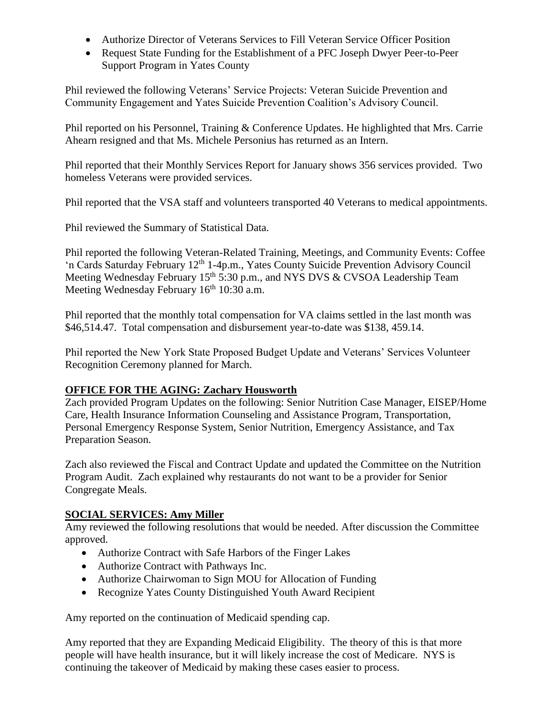- Authorize Director of Veterans Services to Fill Veteran Service Officer Position
- Request State Funding for the Establishment of a PFC Joseph Dwyer Peer-to-Peer Support Program in Yates County

Phil reviewed the following Veterans' Service Projects: Veteran Suicide Prevention and Community Engagement and Yates Suicide Prevention Coalition's Advisory Council.

Phil reported on his Personnel, Training & Conference Updates. He highlighted that Mrs. Carrie Ahearn resigned and that Ms. Michele Personius has returned as an Intern.

Phil reported that their Monthly Services Report for January shows 356 services provided. Two homeless Veterans were provided services.

Phil reported that the VSA staff and volunteers transported 40 Veterans to medical appointments.

Phil reviewed the Summary of Statistical Data.

Phil reported the following Veteran-Related Training, Meetings, and Community Events: Coffee 'n Cards Saturday February 12th 1-4p.m., Yates County Suicide Prevention Advisory Council Meeting Wednesday February 15<sup>th</sup> 5:30 p.m., and NYS DVS & CVSOA Leadership Team Meeting Wednesday February  $16<sup>th</sup> 10:30$  a.m.

Phil reported that the monthly total compensation for VA claims settled in the last month was \$46,514.47. Total compensation and disbursement year-to-date was \$138, 459.14.

Phil reported the New York State Proposed Budget Update and Veterans' Services Volunteer Recognition Ceremony planned for March.

# **OFFICE FOR THE AGING: Zachary Housworth**

Zach provided Program Updates on the following: Senior Nutrition Case Manager, EISEP/Home Care, Health Insurance Information Counseling and Assistance Program, Transportation, Personal Emergency Response System, Senior Nutrition, Emergency Assistance, and Tax Preparation Season.

Zach also reviewed the Fiscal and Contract Update and updated the Committee on the Nutrition Program Audit. Zach explained why restaurants do not want to be a provider for Senior Congregate Meals.

# **SOCIAL SERVICES: Amy Miller**

Amy reviewed the following resolutions that would be needed. After discussion the Committee approved.

- Authorize Contract with Safe Harbors of the Finger Lakes
- Authorize Contract with Pathways Inc.
- Authorize Chairwoman to Sign MOU for Allocation of Funding
- Recognize Yates County Distinguished Youth Award Recipient

Amy reported on the continuation of Medicaid spending cap.

Amy reported that they are Expanding Medicaid Eligibility. The theory of this is that more people will have health insurance, but it will likely increase the cost of Medicare. NYS is continuing the takeover of Medicaid by making these cases easier to process.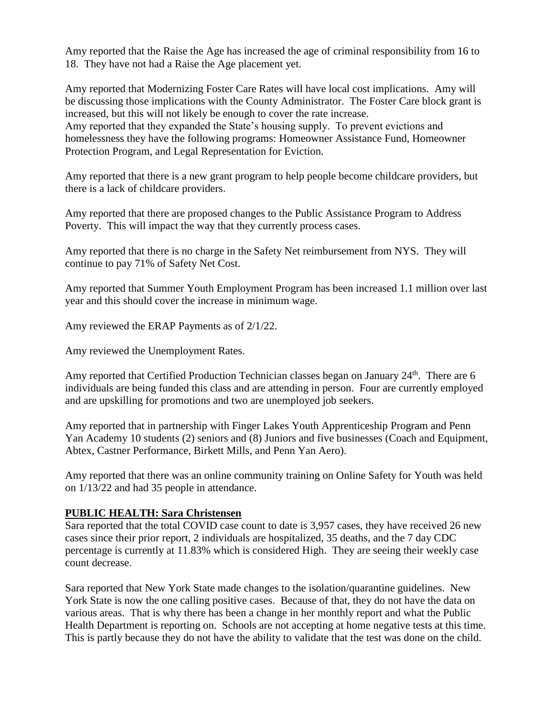Amy reported that the Raise the Age has increased the age of criminal responsibility from 16 to 18. They have not had a Raise the Age placement yet.

Amy reported that Modernizing Foster Care Rates will have local cost implications. Amy will be discussing those implications with the County Administrator. The Foster Care block grant is increased, but this will not likely be enough to cover the rate increase. Amy reported that they expanded the State's housing supply. To prevent evictions and homelessness they have the following programs: Homeowner Assistance Fund, Homeowner Protection Program, and Legal Representation for Eviction.

Amy reported that there is a new grant program to help people become childcare providers, but there is a lack of childcare providers.

Amy reported that there are proposed changes to the Public Assistance Program to Address Poverty. This will impact the way that they currently process cases.

Amy reported that there is no charge in the Safety Net reimbursement from NYS. They will continue to pay 71% of Safety Net Cost.

Amy reported that Summer Youth Employment Program has been increased 1.1 million over last year and this should cover the increase in minimum wage.

Amy reviewed the ERAP Payments as of 2/1/22.

Amy reviewed the Unemployment Rates.

Amy reported that Certified Production Technician classes began on January 24<sup>th</sup>. There are 6 individuals are being funded this class and are attending in person. Four are currently employed and are upskilling for promotions and two are unemployed job seekers.

Amy reported that in partnership with Finger Lakes Youth Apprenticeship Program and Penn Yan Academy 10 students (2) seniors and (8) Juniors and five businesses (Coach and Equipment, Abtex, Castner Performance, Birkett Mills, and Penn Yan Aero).

Amy reported that there was an online community training on Online Safety for Youth was held on 1/13/22 and had 35 people in attendance.

#### **PUBLIC HEALTH: Sara Christensen**

Sara reported that the total COVID case count to date is 3,957 cases, they have received 26 new cases since their prior report, 2 individuals are hospitalized, 35 deaths, and the 7 day CDC percentage is currently at 11.83% which is considered High. They are seeing their weekly case count decrease.

Sara reported that New York State made changes to the isolation/quarantine guidelines. New York State is now the one calling positive cases. Because of that, they do not have the data on various areas. That is why there has been a change in her monthly report and what the Public Health Department is reporting on. Schools are not accepting at home negative tests at this time. This is partly because they do not have the ability to validate that the test was done on the child.